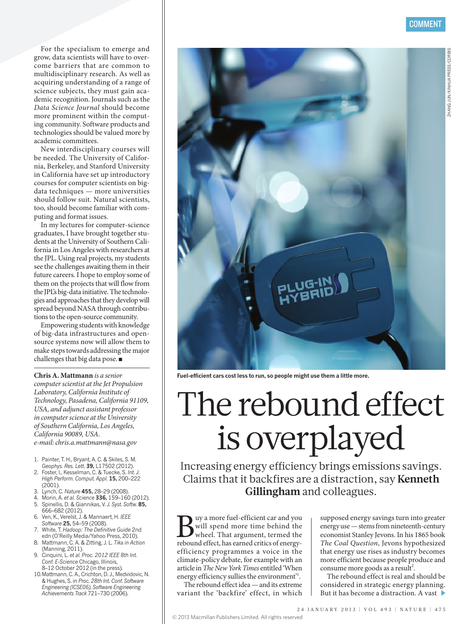ZHANG JUN/XINHUA PRESS/CORBIS

ZHANG JUN/XINHUA PRESS/CORBIS

For the specialism to emerge and grow, data scientists will have to overcome barriers that are common to multidisciplinary research. As well as acquiring understanding of a range of science subjects, they must gain academic recognition. Journals such as the *Data Science Journal* should become more prominent within the computing community. Software products and technologies should be valued more by academic committees.

New interdisciplinary courses will be needed. The University of California, Berkeley, and Stanford University in California have set up introductory courses for computer scientists on bigdata techniques — more universities should follow suit. Natural scientists, too, should become familiar with computing and format issues.

In my lectures for computer-science graduates, I have brought together students at the University of Southern California in Los Angeles with researchers at the JPL. Using real projects, my students see the challenges awaiting them in their future careers. I hope to employ some of them on the projects that will flow from the JPL's big-data initiative. The technologies and approaches that they develop will spread beyond NASA through contributions to the open-source community.

Empowering students with knowledge of big-data infrastructures and opensource systems now will allow them to make steps towards addressing the major challenges that big data pose. ■

**Chris A. Mattmann** *is a senior computer scientist at the Jet Propulsion Laboratory, California Institute of Technology, Pasadena, California 91109, USA, and adjunct assistant professor in computer science at the University of Southern California, Los Angeles, California 90089, USA.*

*e-mail: chris.a.mattmann@nasa.gov* 

- 1. Painter, T. H., Bryant, A. C. & Skiles, S. M. *Geophys. Res. Lett*. **39,** L17502 (2012).
- 2. Foster, I., Kesselman, C. & Tuecke, S. *Int. J. High Perform. Comput. Appl.* **15,** 200–222  $(2001)$ .
- 3. Lynch, C. *Nature* **455,** 28–29 (2008).
- 4. Morin, A. *et al. Science* **336,** 159–160 (2012). 5. Spinellis, D. & Giannikas, V. *J. Syst. Softw.* **85,** 666–682 (2012).
- 6. Ven, K., Verelst, J. & Mannaert, H. *IEEE Software* **25,** 54–59 (2008).
- 7. White, T. *Hadoop: The Definitive Guide* 2nd edn (O'Reilly Media/Yahoo Press, 2010).
- 8. Mattmann, C. A. & Zitting, J. L. *Tika in Action* (Manning, 2011).
- 9. Cinquini, L. *et al. Proc. 2012 IEEE 8th Int. Conf. E-Science* Chicago, Illinois, 8–12 October 2012 (in the press).
- 10.Mattmann, C. A., Crichton, D. J., Medvidovic, N. & Hughes, S. in *Proc. 28th Int. Conf. Software Engineering (ICSE06), Software Engineering Achievements Track* 721–730 (2006).

**Fuel-efficient cars cost less to run, so people might use them a little more.** 

# The rebound effect is overplayed

Increasing energy efficiency brings emissions savings. Claims that it backfires are a distraction, say **Kenneth Gillingham** and colleagues.

Buy a more fuel-efficient car and you<br>will spend more time behind the<br>rebound effect, has earned critics of energywill spend more time behind the wheel. That argument, termed the rebound effect, has earned critics of energyefficiency programmes a voice in the climate-policy debate, for example with an article in *The New York Times* entitled 'When energy efficiency sullies the environment<sup>21</sup>.

The rebound effect idea — and its extreme variant the 'backfire' effect, in which supposed energy savings turn into greater energy use — stems from nineteenth-century economist Stanley Jevons. In his 1865 book *The Coal Question*, Jevons hypothesized that energy use rises as industry becomes more efficient because people produce and consume more goods as a result<sup>2</sup>.

The rebound effect is real and should be considered in strategic energy planning. But it has become a distraction. A vast